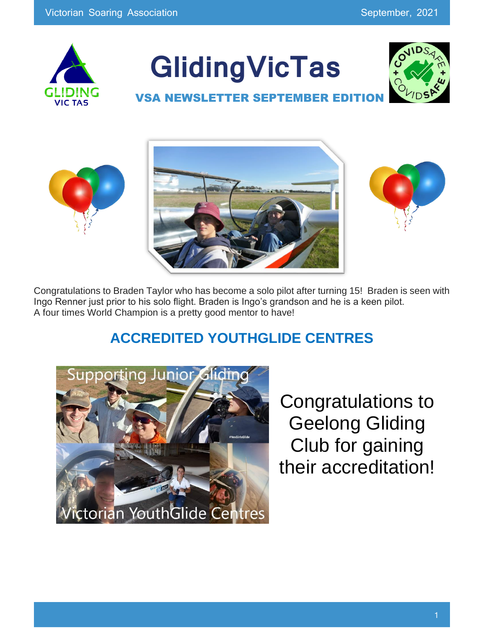

# **GlidingVicTas**



### **VSA NEWSLETTER SEPTEMBER ED**





Congratulations to Braden Taylor who has become a solo pilot after turning 15! Braden is seen with Ingo Renner just prior to his solo flight. Braden is Ingo's grandson and he is a keen pilot. A four times World Champion is a pretty good mentor to have!

### **ACCREDITED YOUTHGLIDE CENTRES**



Congratulations to Geelong Gliding Club for gaining their accreditation!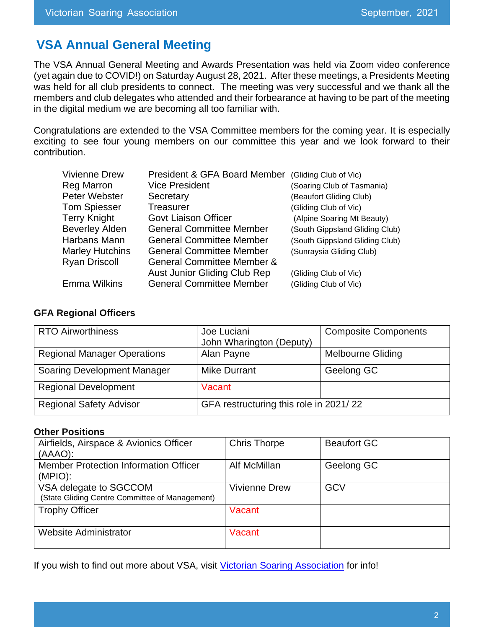### **VSA Annual General Meeting**

The VSA Annual General Meeting and Awards Presentation was held via Zoom video conference (yet again due to COVID!) on Saturday August 28, 2021. After these meetings, a Presidents Meeting was held for all club presidents to connect. The meeting was very successful and we thank all the members and club delegates who attended and their forbearance at having to be part of the meeting in the digital medium we are becoming all too familiar with.

Congratulations are extended to the VSA Committee members for the coming year. It is especially exciting to see four young members on our committee this year and we look forward to their contribution.

| <b>Vivienne Drew</b>   | President & GFA Board Member          | (Gliding Club of Vic)          |
|------------------------|---------------------------------------|--------------------------------|
| <b>Reg Marron</b>      | <b>Vice President</b>                 | (Soaring Club of Tasmania)     |
| Peter Webster          | Secretary                             | (Beaufort Gliding Club)        |
| <b>Tom Spiesser</b>    | <b>Treasurer</b>                      | (Gliding Club of Vic)          |
| <b>Terry Knight</b>    | <b>Govt Liaison Officer</b>           | (Alpine Soaring Mt Beauty)     |
| <b>Beverley Alden</b>  | <b>General Committee Member</b>       | (South Gippsland Gliding Club) |
| Harbans Mann           | <b>General Committee Member</b>       | (South Gippsland Gliding Club) |
| <b>Marley Hutchins</b> | <b>General Committee Member</b>       | (Sunraysia Gliding Club)       |
| <b>Ryan Driscoll</b>   | <b>General Committee Member &amp;</b> |                                |
|                        | <b>Aust Junior Gliding Club Rep</b>   | (Gliding Club of Vic)          |
| <b>Emma Wilkins</b>    | <b>General Committee Member</b>       | (Gliding Club of Vic)          |

#### **GFA Regional Officers**

| <b>RTO Airworthiness</b>           | Joe Luciani<br>John Wharington (Deputy) | <b>Composite Components</b> |
|------------------------------------|-----------------------------------------|-----------------------------|
| <b>Regional Manager Operations</b> | Alan Payne                              | <b>Melbourne Gliding</b>    |
| Soaring Development Manager        | <b>Mike Durrant</b>                     | Geelong GC                  |
| <b>Regional Development</b>        | Vacant                                  |                             |
| <b>Regional Safety Advisor</b>     | GFA restructuring this role in 2021/22  |                             |

#### **Other Positions**

| Airfields, Airspace & Avionics Officer<br>(AAAO):                        | <b>Chris Thorpe</b>  | <b>Beaufort GC</b> |
|--------------------------------------------------------------------------|----------------------|--------------------|
| <b>Member Protection Information Officer</b><br>(MPIO):                  | Alf McMillan         | Geelong GC         |
| VSA delegate to SGCCOM<br>(State Gliding Centre Committee of Management) | <b>Vivienne Drew</b> | GCV                |
| <b>Trophy Officer</b>                                                    | Vacant               |                    |
| <b>Website Administrator</b>                                             | Vacant               |                    |

If you wish to find out more about VSA, visit [Victorian Soaring Association](https://www.gliding.asn.au/) for info!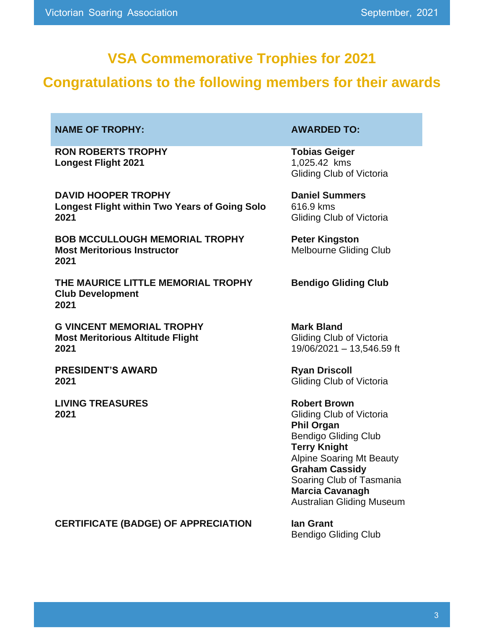### **VSA Commemorative Trophies for 2021**

### **Congratulations to the following members for their awards**

#### **NAME OF TROPHY:**  $\qquad \qquad \bullet$  **AWARDED TO:**

**RON ROBERTS TROPHY Longest Flight 2021**

**DAVID HOOPER TROPHY Longest Flight within Two Years of Going Solo 2021**

**BOB MCCULLOUGH MEMORIAL TROPHY Most Meritorious Instructor 2021**

**THE MAURICE LITTLE MEMORIAL TROPHY Club Development 2021**

**G VINCENT MEMORIAL TROPHY Most Meritorious Altitude Flight 2021**

**PRESIDENT'S AWARD 2021**

**LIVING TREASURES 2021**

**Tobias Geiger** 1,025.42 kms Gliding Club of Victoria

**Daniel Summers** 616.9 kms Gliding Club of Victoria

**Peter Kingston** Melbourne Gliding Club

**Bendigo Gliding Club**

**Mark Bland** Gliding Club of Victoria 19/06/2021 – 13,546.59 ft

**Ryan Driscoll** Gliding Club of Victoria

**Robert Brown**  Gliding Club of Victoria **Phil Organ**  Bendigo Gliding Club **Terry Knight**  Alpine Soaring Mt Beauty **Graham Cassidy**  Soaring Club of Tasmania **Marcia Cavanagh**  Australian Gliding Museum

**CERTIFICATE (BADGE) OF APPRECIATION Ian Grant**

Bendigo Gliding Club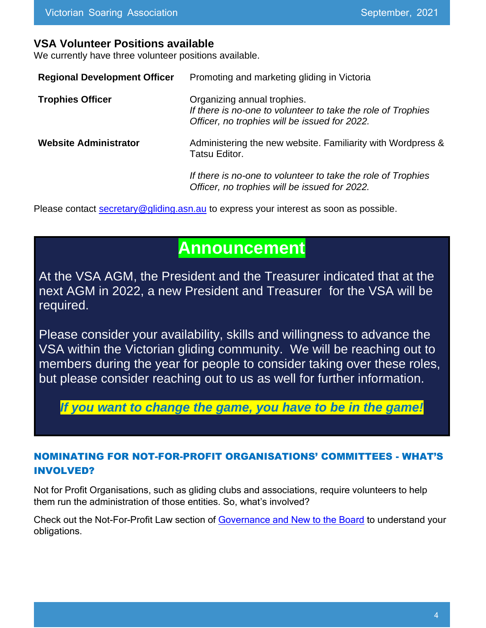#### **VSA Volunteer Positions available**

We currently have three volunteer positions available.

| <b>Regional Development Officer</b> | Promoting and marketing gliding in Victoria                                                                                                  |
|-------------------------------------|----------------------------------------------------------------------------------------------------------------------------------------------|
| <b>Trophies Officer</b>             | Organizing annual trophies.<br>If there is no-one to volunteer to take the role of Trophies<br>Officer, no trophies will be issued for 2022. |
| <b>Website Administrator</b>        | Administering the new website. Familiarity with Wordpress &<br>Tatsu Editor.                                                                 |
|                                     | If there is no-one to volunteer to take the role of Trophies<br>Officer, no trophies will be issued for 2022.                                |

Please contact [secretary@gliding.asn.au](mailto:secretary@gliding.asn.au) to express your interest as soon as possible.

### **Announcement**

At the VSA AGM, the President and the Treasurer indicated that at the next AGM in 2022, a new President and Treasurer for the VSA will be required.

Please consider your availability, skills and willingness to advance the VSA within the Victorian gliding community. We will be reaching out to members during the year for people to consider taking over these roles, but please consider reaching out to us as well for further information.

*If you want to change the game, you have to be in the game!*

### NOMINATING FOR NOT-FOR-PROFIT ORGANISATIONS' COMMITTEES - WHAT'S INVOLVED?

Not for Profit Organisations, such as gliding clubs and associations, require volunteers to help them run the administration of those entities. So, what's involved?

Check out the Not-For-Profit Law section of [Governance and New to the Board](https://www.nfplaw.org.au/governance?utm_source=dynamics&utm_medium=email&utm_campaign=nfp%20law%20june%20update#msdynttrid=NhndlFmU2T9DU8K9BFhdKrYFDc0LjEjZvwLSWtkNCbY) to understand your obligations.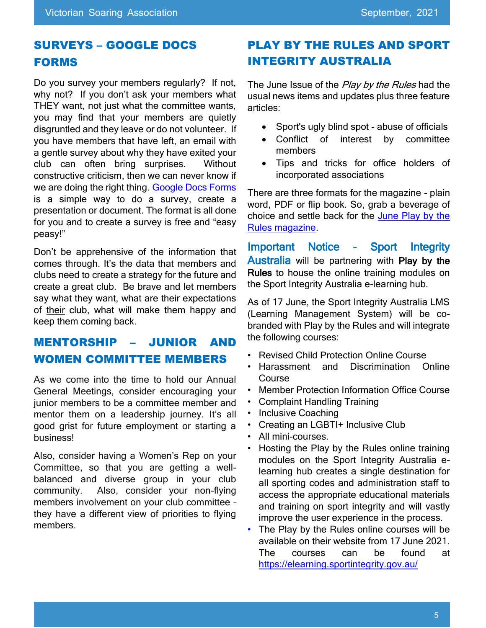### SURVEYS – GOOGLE DOCS FORMS

Do you survey your members regularly? If not, why not? If you don't ask your members what THEY want, not just what the committee wants, you may find that your members are quietly disgruntled and they leave or do not volunteer. If you have members that have left, an email with a gentle survey about why they have exited your club can often bring surprises. Without constructive criticism, then we can never know if we are doing the right thing. [Google Docs Forms](https://www.google.com.au/docs/about/) is a simple way to do a survey, create a presentation or document. The format is all done for you and to create a survey is free and "easy peasy!"

Don't be apprehensive of the information that comes through. It's the data that members and clubs need to create a strategy for the future and create a great club. Be brave and let members say what they want, what are their expectations of their club, what will make them happy and keep them coming back.

### MENTORSHIP – JUNIOR AND WOMEN COMMITTEE MEMBERS

As we come into the time to hold our Annual General Meetings, consider encouraging your junior members to be a committee member and mentor them on a leadership journey. It's all good grist for future employment or starting a business!

Also, consider having a Women's Rep on your Committee, so that you are getting a wellbalanced and diverse group in your club community. Also, consider your non-flying members involvement on your club committee – they have a different view of priorities to flying members.

### PLAY BY THE RULES AND SPORT INTEGRITY AUSTRALIA

The June Issue of the Play by the Rules had the usual news items and updates plus three feature articles:

- Sport's ugly blind spot abuse of officials
- Conflict of interest by committee members
- Tips and tricks for office holders of incorporated associations

There are three formats for the magazine - plain word, PDF or flip book. So, grab a beverage of choice and settle back for the [June Play by the](https://playbytherules.net.au/magazines)  [Rules magazine.](https://playbytherules.net.au/magazines)

Important Notice - Sport Integrity Australia will be partnering with Play by the Rules to house the online training modules on the Sport Integrity Australia e-learning hub.

As of 17 June, the Sport Integrity Australia LMS (Learning Management System) will be cobranded with Play by the Rules and will integrate the following courses:

- Revised Child Protection Online Course
- Harassment and Discrimination Online Course
- Member Protection Information Office Course
- Complaint Handling Training
- Inclusive Coaching
- Creating an LGBTI+ Inclusive Club
- All mini-courses.
- Hosting the Play by the Rules online training modules on the Sport Integrity Australia elearning hub creates a single destination for all sporting codes and administration staff to access the appropriate educational materials and training on sport integrity and will vastly improve the user experience in the process.
- The Play by the Rules online courses will be available on their website from 17 June 2021. The courses can be found at <https://elearning.sportintegrity.gov.au/>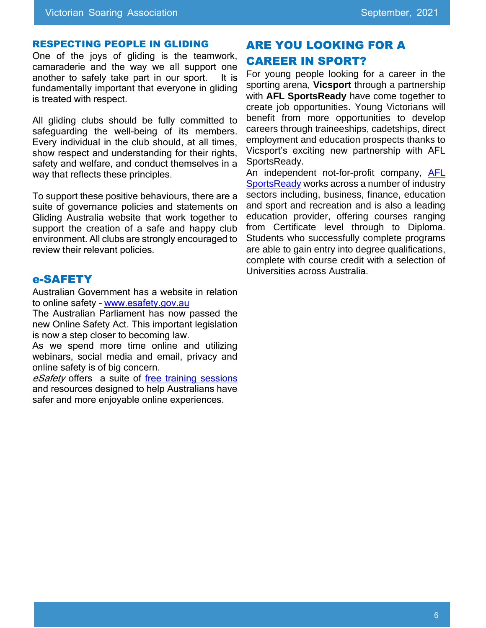#### RESPECTING PEOPLE IN GLIDING

One of the joys of gliding is the teamwork, camaraderie and the way we all support one another to safely take part in our sport. It is fundamentally important that everyone in gliding is treated with respect.

All gliding clubs should be fully committed to safeguarding the well-being of its members. Every individual in the club should, at all times, show respect and understanding for their rights, safety and welfare, and conduct themselves in a way that reflects these principles.

To support these positive behaviours, there are a suite of governance policies and statements on Gliding Australia website that work together to support the creation of a safe and happy club environment. All clubs are strongly encouraged to review their relevant policies.

#### e-SAFETY

Australian Government has a website in relation to online safety - [www.esafety.gov.au](http://www.esafety.gov.au/)

The Australian Parliament has now passed the new Online Safety Act. This important legislation is now a step closer to becoming law.

As we spend more time online and utilizing webinars, social media and email, privacy and online safety is of big concern.

eSafety offers a suite of [free training sessions](https://www.esafety.gov.au/about-us/what-we-do/our-programs/training) and resources designed to help Australians have safer and more enjoyable online experiences.

### ARE YOU LOOKING FOR A CAREER IN SPORT?

For young people looking for a career in the sporting arena, **Vicsport** through a partnership with **AFL SportsReady** have come together to create job opportunities. Young Victorians will benefit from more opportunities to develop careers through traineeships, cadetships, direct employment and education prospects thanks to Vicsport's exciting new partnership with AFL SportsReady.

An independent not-for-profit company, [AFL](https://www.facebook.com/AFLSportsReady/)  [SportsReady](https://www.facebook.com/AFLSportsReady/) works across a number of industry sectors including, business, finance, education and sport and recreation and is also a leading education provider, offering courses ranging from Certificate level through to Diploma. Students who successfully complete programs are able to gain entry into degree qualifications, complete with course credit with a selection of Universities across Australia.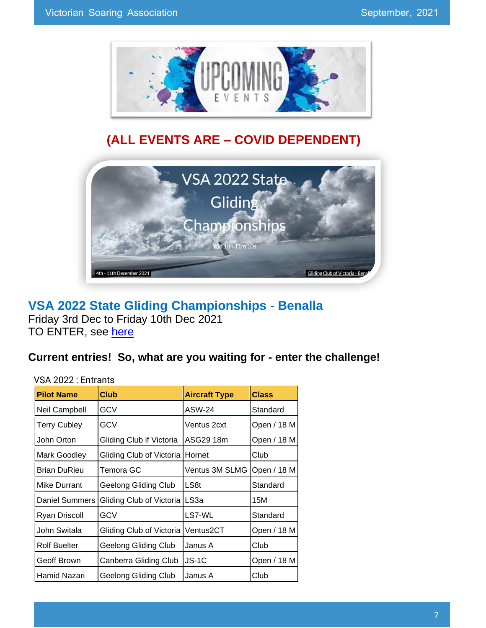

### **(ALL EVENTS ARE – COVID DEPENDENT)**



### **VSA 2022 State Gliding Championships - Benalla** Friday 3rd Dec to Friday 10th Dec 2021

TO ENTER, see [here](https://www.glidingcomp.flights/vsa2022/)

### **Current entries! So, what are you waiting for - enter the challenge!**

#### VSA 2022 : Entrants

| <b>Pilot Name</b>     | <b>Club</b>                 | <b>Aircraft Type</b> | <b>Class</b> |
|-----------------------|-----------------------------|----------------------|--------------|
| Neil Campbell         | GCV                         | ASW-24               | Standard     |
| <b>Terry Cubley</b>   | GCV                         | Ventus 2cxt          | Open / 18 M  |
| John Orton            | Gliding Club if Victoria    | ASG29 18m            | Open / 18 M  |
| <b>Mark Goodley</b>   | Gliding Club of Victoria    | Hornet               | Club         |
| Brian DuRieu          | Temora GC                   | Ventus 3M SLMG       | Open / 18 M  |
| Mike Durrant          | Geelong Gliding Club        | LS8t                 | Standard     |
| <b>Daniel Summers</b> | Gliding Club of Victoria    | LS3a                 | 15M          |
| Ryan Driscoll         | GCV                         | LS7-WL               | Standard     |
| John Switala          | Gliding Club of Victoria    | Ventus2CT            | Open / 18 M  |
| <b>Rolf Buelter</b>   | <b>Geelong Gliding Club</b> | Janus A              | Club         |
| Geoff Brown           | Canberra Gliding Club       | $JS-1C$              | Open / 18 M  |
| Hamid Nazari          | Geelong Gliding Club        | Janus A              | Club         |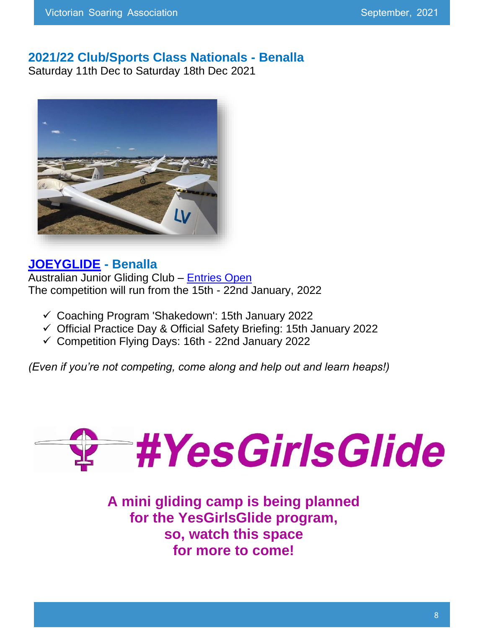### **2021/22 Club/Sports Class Nationals - Benalla**

Saturday 11th Dec to Saturday 18th Dec 2021



### **[JOEYGLIDE](https://www.youtube.com/watch?v=4lCKB2SwXxg) - Benalla**

Australian Junior Gliding Club – [Entries Open](https://www.joeyglide.juniorsoaring.org/) The competition will run from the 15th - 22nd January, 2022

- ✓ Coaching Program 'Shakedown': 15th January 2022
- ✓ Official Practice Day & Official Safety Briefing: 15th January 2022
- ✓ Competition Flying Days: 16th 22nd January 2022

*(Even if you're not competing, come along and help out and learn heaps!)*



**A mini gliding camp is being planned for the YesGirlsGlide program, so, watch this space for more to come!**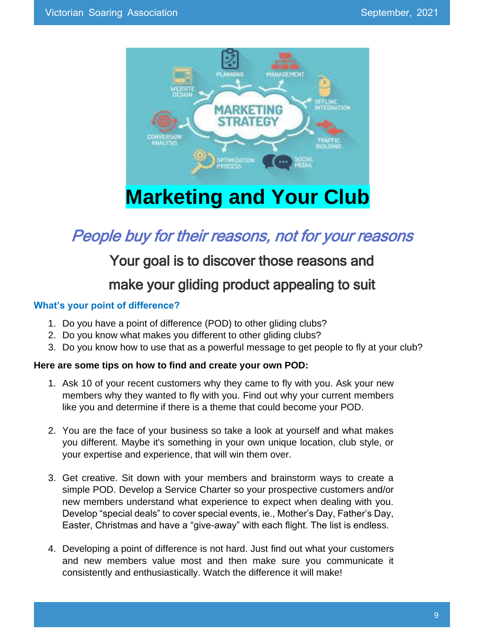

## **Marketing and Your Club**

### People buy for their reasons, not for your reasons

### Your goal is to discover those reasons and

### make your gliding product appealing to suit

#### **What's your point of difference?**

- 1. Do you have a point of difference (POD) to other gliding clubs?
- 2. Do you know what makes you different to other gliding clubs?
- 3. Do you know how to use that as a powerful message to get people to fly at your club?

#### **Here are some tips on how to find and create your own POD:**

- 1. Ask 10 of your recent customers why they came to fly with you. Ask your new members why they wanted to fly with you. Find out why your current members like you and determine if there is a theme that could become your POD.
- 2. You are the face of your business so take a look at yourself and what makes you different. Maybe it's something in your own unique location, club style, or your expertise and experience, that will win them over.
- 3. Get creative. Sit down with your members and brainstorm ways to create a simple POD. Develop a Service Charter so your prospective customers and/or new members understand what experience to expect when dealing with you. Develop "special deals" to cover special events, ie., Mother's Day, Father's Day, Easter, Christmas and have a "give-away" with each flight. The list is endless.
- 4. Developing a point of difference is not hard. Just find out what your customers and new members value most and then make sure you communicate it consistently and enthusiastically. Watch the difference it will make!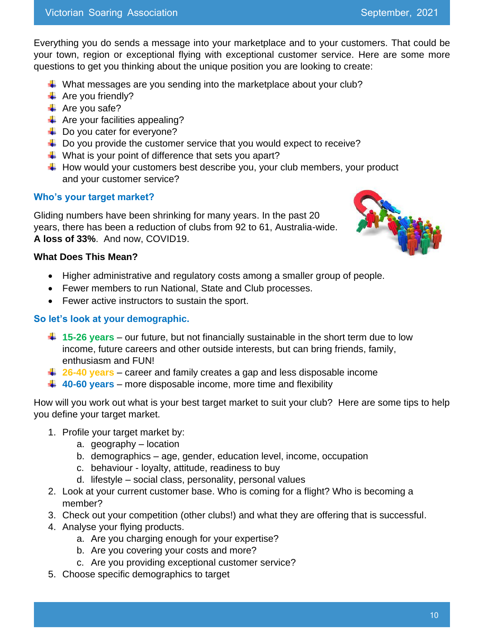Everything you do sends a message into your marketplace and to your customers. That could be your town, region or exceptional flying with exceptional customer service. Here are some more questions to get you thinking about the unique position you are looking to create:

- $\downarrow$  What messages are you sending into the marketplace about your club?
- $\overline{\text{4}}$  Are you friendly?
- $\overline{\phantom{a}}$  Are you safe?
- $\leftarrow$  Are your facilities appealing?
- $\downarrow$  Do you cater for everyone?
- $\downarrow$  Do you provide the customer service that you would expect to receive?
- $\downarrow$  What is your point of difference that sets you apart?
- $\downarrow$  How would your customers best describe you, your club members, your product and your customer service?

#### **Who's your target market?**

Gliding numbers have been shrinking for many years. In the past 20 years, there has been a reduction of clubs from 92 to 61, Australia-wide. **A loss of 33%**. And now, COVID19.



#### **What Does This Mean?**

- Higher administrative and regulatory costs among a smaller group of people.
- Fewer members to run National, State and Club processes.
- Fewer active instructors to sustain the sport.

#### **So let's look at your demographic.**

- **15-26 years** our future, but not financially sustainable in the short term due to low income, future careers and other outside interests, but can bring friends, family, enthusiasm and FUN!
- $\frac{1}{26}$  **26-40 years** career and family creates a gap and less disposable income
- **40-60 years** more disposable income, more time and flexibility

How will you work out what is your best target market to suit your club? Here are some tips to help you define your target market.

- 1. Profile your target market by:
	- a. geography location
	- b. demographics age, gender, education level, income, occupation
	- c. behaviour loyalty, attitude, readiness to buy
	- d. lifestyle social class, personality, personal values
- 2. Look at your current customer base. Who is coming for a flight? Who is becoming a member?
- 3. Check out your competition (other clubs!) and what they are offering that is successful.
- 4. Analyse your flying products.
	- a. Are you charging enough for your expertise?
	- b. Are you covering your costs and more?
	- c. Are you providing exceptional customer service?
- 5. Choose specific demographics to target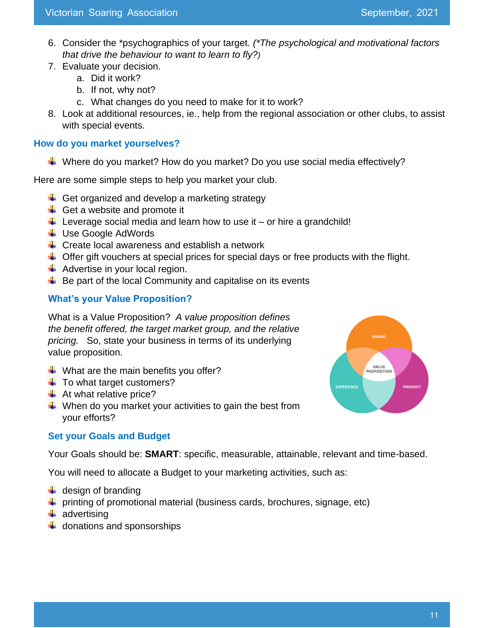- 6. Consider the \*psychographics of your target. *(\*The psychological and motivational factors that drive the behaviour to want to learn to fly?)*
- 7. Evaluate your decision.
	- a. Did it work?
	- b. If not, why not?
	- c. What changes do you need to make for it to work?
- 8. Look at additional resources, ie., help from the regional association or other clubs, to assist with special events.

#### **How do you market yourselves?**

 $\downarrow$  Where do you market? How do you market? Do you use social media effectively?

Here are some simple steps to help you market your club.

- $\leftarrow$  Get organized and develop a marketing strategy
- $\leftarrow$  Get a website and promote it
- $\downarrow$  Leverage social media and learn how to use it or hire a grandchild!
- **↓ Use Google AdWords**
- $\triangleq$  Create local awareness and establish a network
- $\downarrow$  Offer gift vouchers at special prices for special days or free products with the flight.
- $\overline{\phantom{a}}$  Advertise in your local region.
- $\downarrow$  Be part of the local Community and capitalise on its events

#### **What's your Value Proposition?**

What is a Value Proposition? *A value proposition defines the benefit offered, the target market group, and the relative pricing.* So, state your business in terms of its underlying value proposition.

- $\downarrow$  What are the main benefits you offer?
- $\ddot{\phantom{1}}$  To what target customers?
- $\triangleq$  At what relative price?
- $\frac{1}{\sqrt{2}}$  When do you market your activities to gain the best from your efforts?



#### **Set your Goals and Budget**

Your Goals should be: **SMART**: specific, measurable, attainable, relevant and time-based.

You will need to allocate a Budget to your marketing activities, such as:

- $\downarrow$  design of branding
- $\downarrow$  printing of promotional material (business cards, brochures, signage, etc)
- $\ddot{\bullet}$  advertising
- $\downarrow$  donations and sponsorships